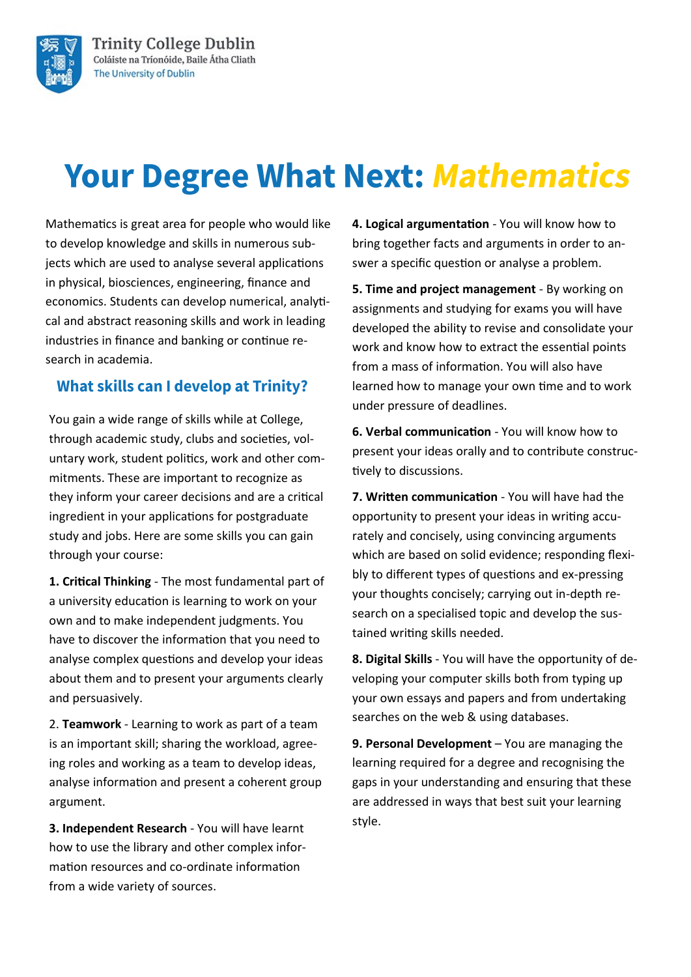

# **Your Degree What Next: Mathematics**

Mathematics is great area for people who would like to develop knowledge and skills in numerous subjects which are used to analyse several applications in physical, biosciences, engineering, finance and economics. Students can develop numerical, analytical and abstract reasoning skills and work in leading industries in finance and banking or continue research in academia.

### **What skills can I develop at Trinity?**

You gain a wide range of skills while at College, through academic study, clubs and societies, voluntary work, student politics, work and other commitments. These are important to recognize as they inform your career decisions and are a critical ingredient in your applications for postgraduate study and jobs. Here are some skills you can gain through your course:

**1. Critical Thinking** - The most fundamental part of a university education is learning to work on your own and to make independent judgments. You have to discover the information that you need to analyse complex questions and develop your ideas about them and to present your arguments clearly and persuasively.

2. **Teamwork** - Learning to work as part of a team is an important skill; sharing the workload, agreeing roles and working as a team to develop ideas, analyse information and present a coherent group argument.

**3. Independent Research** - You will have learnt how to use the library and other complex information resources and co-ordinate information from a wide variety of sources.

**4. Logical argumentation** - You will know how to bring together facts and arguments in order to answer a specific question or analyse a problem.

**5. Time and project management** - By working on assignments and studying for exams you will have developed the ability to revise and consolidate your work and know how to extract the essential points from a mass of information. You will also have learned how to manage your own time and to work under pressure of deadlines.

**6. Verbal communication** - You will know how to present your ideas orally and to contribute constructively to discussions.

**7. Written communication** - You will have had the opportunity to present your ideas in writing accurately and concisely, using convincing arguments which are based on solid evidence; responding flexibly to different types of questions and ex-pressing your thoughts concisely; carrying out in-depth research on a specialised topic and develop the sustained writing skills needed.

**8. Digital Skills** - You will have the opportunity of developing your computer skills both from typing up your own essays and papers and from undertaking searches on the web & using databases.

**9. Personal Development** – You are managing the learning required for a degree and recognising the gaps in your understanding and ensuring that these are addressed in ways that best suit your learning style.